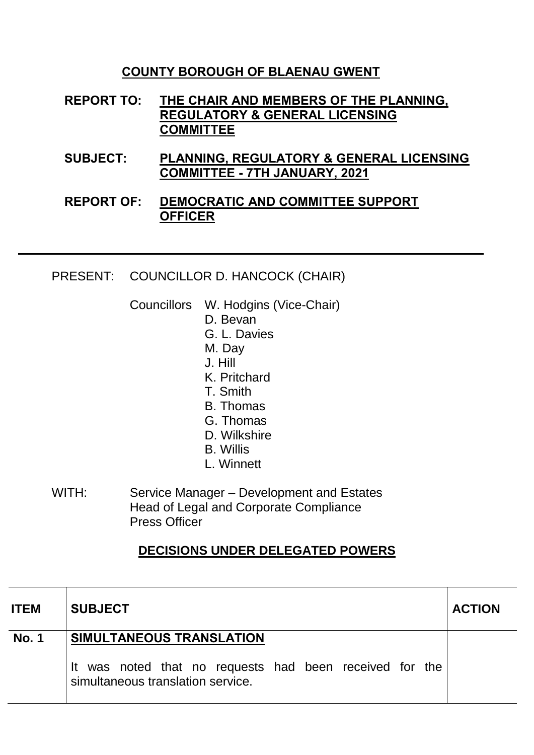## **COUNTY BOROUGH OF BLAENAU GWENT**

- **REPORT TO: THE CHAIR AND MEMBERS OF THE PLANNING, REGULATORY & GENERAL LICENSING COMMITTEE**
- **SUBJECT: PLANNING, REGULATORY & GENERAL LICENSING COMMITTEE - 7TH JANUARY, 2021**

## **REPORT OF: DEMOCRATIC AND COMMITTEE SUPPORT OFFICER**

PRESENT: COUNCILLOR D. HANCOCK (CHAIR)

Councillors W. Hodgins (Vice-Chair)

- D. Bevan
- G. L. Davies
- M. Day
- J. Hill
- K. Pritchard
- T. Smith
- B. Thomas
- G. Thomas
- D. Wilkshire
- B. Willis
- L. Winnett
- WITH: Service Manager Development and Estates Head of Legal and Corporate Compliance Press Officer

## **DECISIONS UNDER DELEGATED POWERS**

| <b>ITEM</b>  | <b>SUBJECT</b>                                                                               | <b>ACTION</b> |
|--------------|----------------------------------------------------------------------------------------------|---------------|
| <b>No. 1</b> | SIMULTANEOUS TRANSLATION                                                                     |               |
|              | It was noted that no requests had been received for the<br>simultaneous translation service. |               |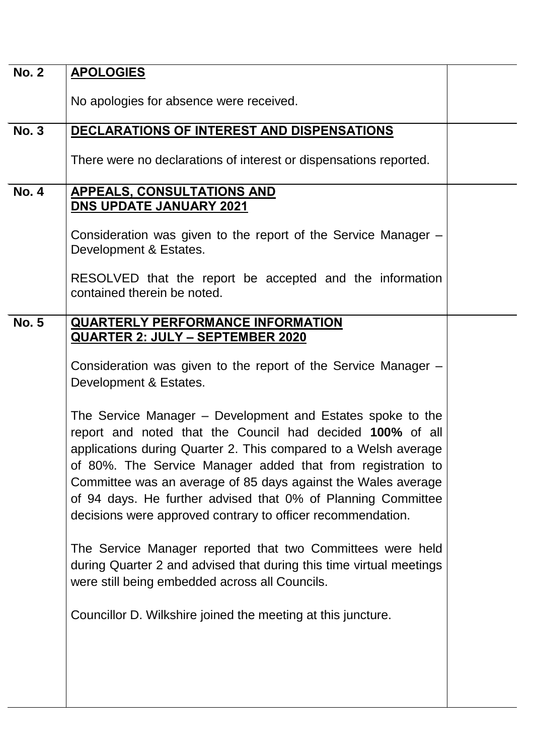| <b>No. 2</b> | <b>APOLOGIES</b>                                                                                                                                                                                                                                                                                                                                                                                                                                          |  |
|--------------|-----------------------------------------------------------------------------------------------------------------------------------------------------------------------------------------------------------------------------------------------------------------------------------------------------------------------------------------------------------------------------------------------------------------------------------------------------------|--|
|              | No apologies for absence were received.                                                                                                                                                                                                                                                                                                                                                                                                                   |  |
| <b>No. 3</b> | DECLARATIONS OF INTEREST AND DISPENSATIONS                                                                                                                                                                                                                                                                                                                                                                                                                |  |
|              | There were no declarations of interest or dispensations reported.                                                                                                                                                                                                                                                                                                                                                                                         |  |
| <b>No. 4</b> | <b>APPEALS, CONSULTATIONS AND</b>                                                                                                                                                                                                                                                                                                                                                                                                                         |  |
|              | <b>DNS UPDATE JANUARY 2021</b>                                                                                                                                                                                                                                                                                                                                                                                                                            |  |
|              | Consideration was given to the report of the Service Manager –<br>Development & Estates.                                                                                                                                                                                                                                                                                                                                                                  |  |
|              | RESOLVED that the report be accepted and the information<br>contained therein be noted.                                                                                                                                                                                                                                                                                                                                                                   |  |
| <b>No. 5</b> | <b>QUARTERLY PERFORMANCE INFORMATION</b>                                                                                                                                                                                                                                                                                                                                                                                                                  |  |
|              | <u> QUARTER 2: JULY – SEPTEMBER 2020</u>                                                                                                                                                                                                                                                                                                                                                                                                                  |  |
|              | Consideration was given to the report of the Service Manager –<br>Development & Estates.                                                                                                                                                                                                                                                                                                                                                                  |  |
|              | The Service Manager - Development and Estates spoke to the<br>report and noted that the Council had decided 100% of all<br>applications during Quarter 2. This compared to a Welsh average<br>of 80%. The Service Manager added that from registration to<br>Committee was an average of 85 days against the Wales average<br>of 94 days. He further advised that 0% of Planning Committee<br>decisions were approved contrary to officer recommendation. |  |
|              | The Service Manager reported that two Committees were held<br>during Quarter 2 and advised that during this time virtual meetings<br>were still being embedded across all Councils.                                                                                                                                                                                                                                                                       |  |
|              | Councillor D. Wilkshire joined the meeting at this juncture.                                                                                                                                                                                                                                                                                                                                                                                              |  |
|              |                                                                                                                                                                                                                                                                                                                                                                                                                                                           |  |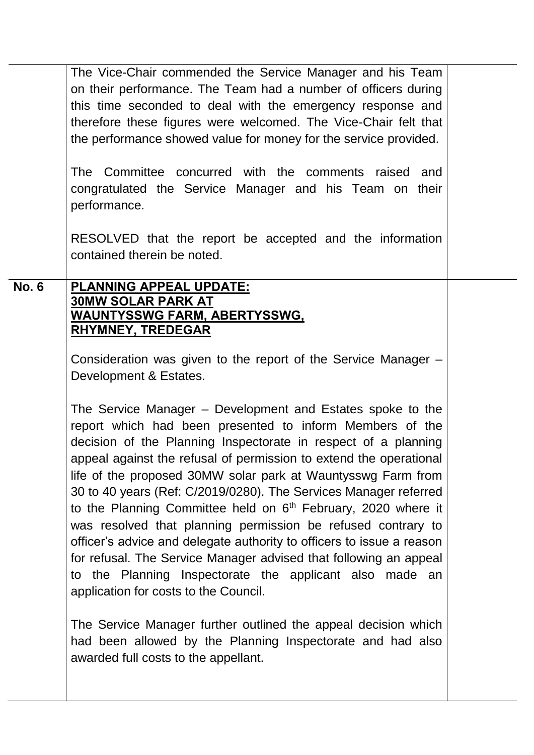|              | The Vice-Chair commended the Service Manager and his Team<br>on their performance. The Team had a number of officers during<br>this time seconded to deal with the emergency response and<br>therefore these figures were welcomed. The Vice-Chair felt that<br>the performance showed value for money for the service provided.<br>The Committee concurred with the comments raised and<br>congratulated the Service Manager and his Team on their<br>performance.                                                                                                                                                                                                                                                                                                                                                                                                                                                                                                                                                                                                                                                                                             |  |
|--------------|-----------------------------------------------------------------------------------------------------------------------------------------------------------------------------------------------------------------------------------------------------------------------------------------------------------------------------------------------------------------------------------------------------------------------------------------------------------------------------------------------------------------------------------------------------------------------------------------------------------------------------------------------------------------------------------------------------------------------------------------------------------------------------------------------------------------------------------------------------------------------------------------------------------------------------------------------------------------------------------------------------------------------------------------------------------------------------------------------------------------------------------------------------------------|--|
|              | RESOLVED that the report be accepted and the information<br>contained therein be noted.                                                                                                                                                                                                                                                                                                                                                                                                                                                                                                                                                                                                                                                                                                                                                                                                                                                                                                                                                                                                                                                                         |  |
| <b>No. 6</b> | <b>PLANNING APPEAL UPDATE:</b><br><b>30MW SOLAR PARK AT</b><br><u>WAUNTYSSWG FARM, ABERTYSSWG,</u><br><b>RHYMNEY, TREDEGAR</b><br>Consideration was given to the report of the Service Manager -<br>Development & Estates.<br>The Service Manager – Development and Estates spoke to the<br>report which had been presented to inform Members of the<br>decision of the Planning Inspectorate in respect of a planning<br>appeal against the refusal of permission to extend the operational<br>life of the proposed 30MW solar park at Wauntysswg Farm from<br>30 to 40 years (Ref: C/2019/0280). The Services Manager referred<br>to the Planning Committee held on 6 <sup>th</sup> February, 2020 where it<br>was resolved that planning permission be refused contrary to<br>officer's advice and delegate authority to officers to issue a reason<br>for refusal. The Service Manager advised that following an appeal<br>to the Planning Inspectorate the applicant also made an<br>application for costs to the Council.<br>The Service Manager further outlined the appeal decision which<br>had been allowed by the Planning Inspectorate and had also |  |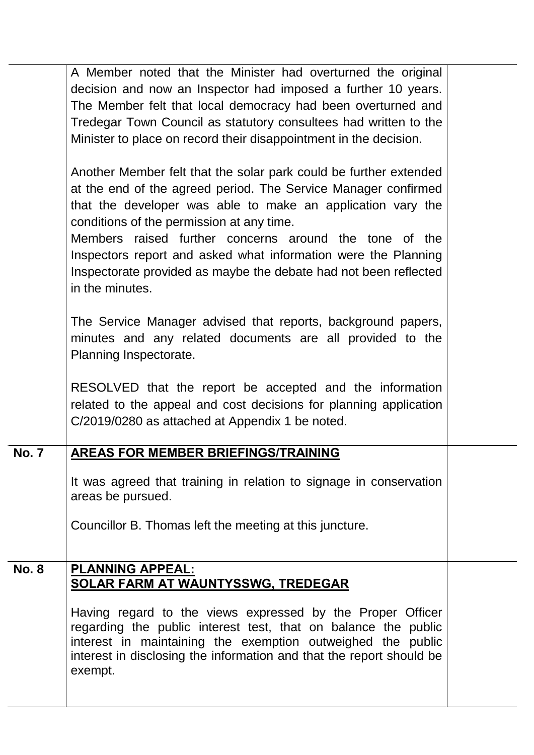|              | A Member noted that the Minister had overturned the original<br>decision and now an Inspector had imposed a further 10 years.<br>The Member felt that local democracy had been overturned and<br>Tredegar Town Council as statutory consultees had written to the<br>Minister to place on record their disappointment in the decision.                                                                                                                             |  |
|--------------|--------------------------------------------------------------------------------------------------------------------------------------------------------------------------------------------------------------------------------------------------------------------------------------------------------------------------------------------------------------------------------------------------------------------------------------------------------------------|--|
|              | Another Member felt that the solar park could be further extended<br>at the end of the agreed period. The Service Manager confirmed<br>that the developer was able to make an application vary the<br>conditions of the permission at any time.<br>Members raised further concerns around the tone of the<br>Inspectors report and asked what information were the Planning<br>Inspectorate provided as maybe the debate had not been reflected<br>in the minutes. |  |
|              | The Service Manager advised that reports, background papers,<br>minutes and any related documents are all provided to the<br>Planning Inspectorate.                                                                                                                                                                                                                                                                                                                |  |
|              | RESOLVED that the report be accepted and the information<br>related to the appeal and cost decisions for planning application<br>C/2019/0280 as attached at Appendix 1 be noted.                                                                                                                                                                                                                                                                                   |  |
| <b>No. 7</b> | AREAS FOR MEMBER BRIEFINGS/TRAINING                                                                                                                                                                                                                                                                                                                                                                                                                                |  |
|              | It was agreed that training in relation to signage in conservation<br>areas be pursued.                                                                                                                                                                                                                                                                                                                                                                            |  |
|              | Councillor B. Thomas left the meeting at this juncture.                                                                                                                                                                                                                                                                                                                                                                                                            |  |
| <b>No. 8</b> | <b>PLANNING APPEAL:</b>                                                                                                                                                                                                                                                                                                                                                                                                                                            |  |
|              | <b>SOLAR FARM AT WAUNTYSSWG, TREDEGAR</b>                                                                                                                                                                                                                                                                                                                                                                                                                          |  |
|              | Having regard to the views expressed by the Proper Officer<br>regarding the public interest test, that on balance the public<br>interest in maintaining the exemption outweighed the public<br>interest in disclosing the information and that the report should be<br>exempt.                                                                                                                                                                                     |  |
|              |                                                                                                                                                                                                                                                                                                                                                                                                                                                                    |  |